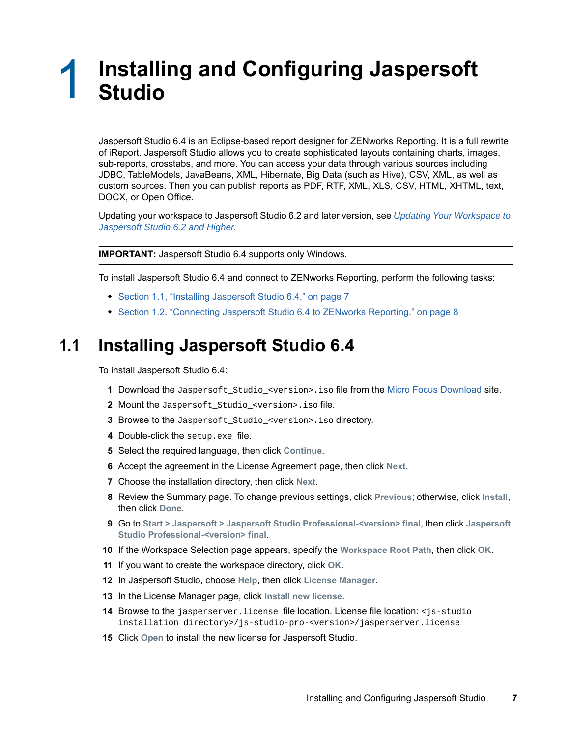## 1 <sup>1</sup> **Installing and Configuring Jaspersoft Studio**

Jaspersoft Studio 6.4 is an Eclipse-based report designer for ZENworks Reporting. It is a full rewrite of iReport. Jaspersoft Studio allows you to create sophisticated layouts containing charts, images, sub-reports, crosstabs, and more. You can access your data through various sources including JDBC, TableModels, JavaBeans, XML, Hibernate, Big Data (such as Hive), CSV, XML, as well as custom sources. Then you can publish reports as PDF, RTF, XML, XLS, CSV, HTML, XHTML, text, DOCX, or Open Office.

Updating your workspace to Jaspersoft Studio 6.2 and later version, see *[Updating Your Workspace to](https://www.novell.com/documentation/zenworks2017/pdfdoc/jaspersoft-studio-user-guide/jaspersoft-studio-user-guide.pdf#%5B%7B%22num%22%3A17%2C%22gen%22%3A0%7D%2C%7B%22name%22%3A%22XYZ%22%7D%2C90%2C249%2C0%5D)  [Jaspersoft Studio 6.2 and Higher.](https://www.novell.com/documentation/zenworks2017/pdfdoc/jaspersoft-studio-user-guide/jaspersoft-studio-user-guide.pdf#%5B%7B%22num%22%3A17%2C%22gen%22%3A0%7D%2C%7B%22name%22%3A%22XYZ%22%7D%2C90%2C249%2C0%5D)*

**IMPORTANT:** Jaspersoft Studio 6.4 supports only Windows.

To install Jaspersoft Studio 6.4 and connect to ZENworks Reporting, perform the following tasks:

- [Section 1.1, "Installing Jaspersoft Studio 6.4," on page 7](#page-0-0)
- [Section 1.2, "Connecting Jaspersoft Studio 6.4 to ZENworks Reporting," on page 8](#page-1-0)

## <span id="page-0-0"></span>**1.1 Installing Jaspersoft Studio 6.4**

To install Jaspersoft Studio 6.4:

- **1** Download the Jaspersoft\_Studio\_<version>.iso [file from the](https://download.novell.com/Download?buildid=Ux2571NfNpM~) Micro Focus Download site.
- **2** Mount the Jaspersoft\_Studio\_<version>.iso file.
- **3** Browse to the Jaspersoft\_Studio\_<version>.iso directory.
- **4** Double-click the setup.exe file.
- **5** Select the required language, then click **Continue**.
- **6** Accept the agreement in the License Agreement page, then click **Next**.
- **7** Choose the installation directory, then click **Next**.
- **8** Review the Summary page. To change previous settings, click **Previous**; otherwise, click **Install**, then click **Done**.
- **9** Go to **Start > Jaspersoft > Jaspersoft Studio Professional-<version> final,** then click **Jaspersoft Studio Professional-<version> final**.
- **10** If the Workspace Selection page appears, specify the **Workspace Root Path**, then click **OK**.
- **11** If you want to create the workspace directory, click **OK**.
- **12** In Jaspersoft Studio, choose **Help**, then click **License Manager**.
- **13** In the License Manager page, click **Install new license**.
- **14** Browse to the jasperserver.license file location. License file location: <js-studio installation directory>/js-studio-pro-<version>/jasperserver.license
- **15** Click **Open** to install the new license for Jaspersoft Studio.